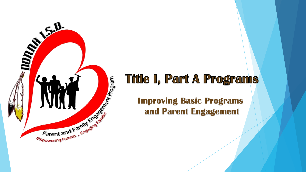

## **Title I, Part A Programs**

**and Parent Engagement**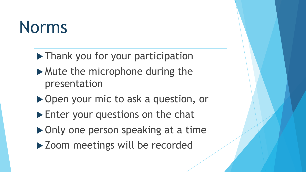# Norms

- ▶ Thank you for your participation
- Mute the microphone during the presentation
- ▶ Open your mic to ask a question, or
- Enter your questions on the chat
- ▶ Only one person speaking at a time
- ▶ Zoom meetings will be recorded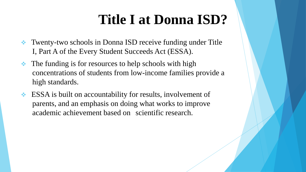## **Title I at Donna ISD?**

- **★** Twenty-two schools in Donna ISD receive funding under Title I, Part A of the Every Student Succeeds Act (ESSA).
- $\triangle$  The funding is for resources to help schools with high concentrations of students from low-income families provide a high standards.
- **ESSA** is built on accountability for results, involvement of parents, and an emphasis on doing what works to improve academic achievement based on scientific research.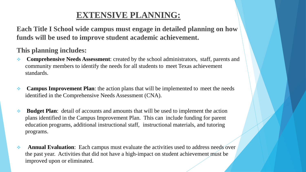#### **EXTENSIVE PLANNING:**

**Each Title I School wide campus must engage in detailed planning on how funds will be used to improve student academic achievement.** 

#### **This planning includes:**

- **Comprehensive Needs Assessment:** created by the school administrators, staff, parents and community members to identify the needs for all students to meet Texas achievement standards.
- **Campus Improvement Plan**: the action plans that will be implemented to meet the needs identified in the Comprehensive Needs Assessment (CNA).
- **Budget Plan**: detail of accounts and amounts that will be used to implement the action plans identified in the Campus Improvement Plan. This can include funding for parent education programs, additional instructional staff, instructional materials, and tutoring programs.
- **Annual Evaluation**: Each campus must evaluate the activities used to address needs over the past year. Activities that did not have a high-impact on student achievement must be improved upon or eliminated.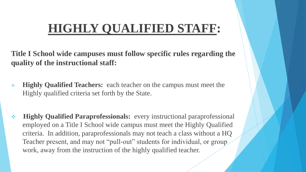## **HIGHLY QUALIFIED STAFF:**

**Title I School wide campuses must follow specific rules regarding the quality of the instructional staff:**

- **Highly Qualified Teachers:** each teacher on the campus must meet the Highly qualified criteria set forth by the State.
- **Highly Qualified Paraprofessionals:** every instructional paraprofessional employed on a Title I School wide campus must meet the Highly Qualified criteria. In addition, paraprofessionals may not teach a class without a HQ Teacher present, and may not "pull-out" students for individual, or group work, away from the instruction of the highly qualified teacher.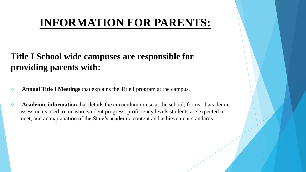### **INFORMATION FOR PARENTS:**

#### **Title I School wide campuses are responsible for providing parents with:**

- **Annual Title I Meetings** that explains the Title I program at the campus.
- **Academic information** that details the curriculum in use at the school, forms of academic assessments used to measure student progress, proficiency levels students are expected to meet, and an explanation of the State's academic content and achievement standards.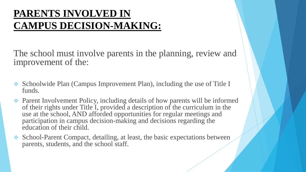### **PARENTS INVOLVED IN CAMPUS DECISION-MAKING:**

The school must involve parents in the planning, review and improvement of the:

- Schoolwide Plan (Campus Improvement Plan), including the use of Title I funds.
- Parent Involvement Policy, including details of how parents will be informed of their rights under Title I, provided a description of the curriculum in the use at the school, AND afforded opportunities for regular meetings and participation in campus decision-making and decisions regarding the education of their child.
- School-Parent Compact, detailing, at least, the basic expectations between parents, students, and the school staff.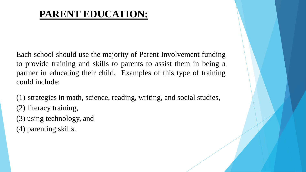### **PARENT EDUCATION:**

Each school should use the majority of Parent Involvement funding to provide training and skills to parents to assist them in being a partner in educating their child. Examples of this type of training could include:

(1) strategies in math, science, reading, writing, and social studies, (2) literacy training, (3) using technology, and (4) parenting skills.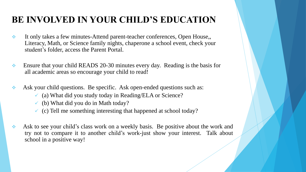#### **BE INVOLVED IN YOUR CHILD'S EDUCATION**

- It only takes a few minutes-Attend parent-teacher conferences, Open House,, Literacy, Math, or Science family nights, chaperone a school event, check your student's folder, access the Parent Portal.
- Ensure that your child READS 20-30 minutes every day. Reading is the basis for all academic areas so encourage your child to read!
- Ask your child questions. Be specific. Ask open-ended questions such as:
	- $\checkmark$  (a) What did you study today in Reading/ELA or Science?
	- $\checkmark$  (b) What did you do in Math today?
	- $\checkmark$  (c) Tell me something interesting that happened at school today?
- Ask to see your child's class work on a weekly basis. Be positive about the work and try not to compare it to another child's work-just show your interest. Talk about school in a positive way!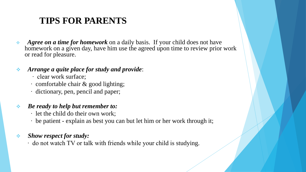#### **TIPS FOR PARENTS**

- *Agree on a time for homework* on a daily basis. If your child does not have homework on a given day, have him use the agreed upon time to review prior work or read for pleasure.
- *Arrange a quite place for study and provide*:
	- ∙ clear work surface;
	- ∙ comfortable chair & good lighting;
	- ∙ dictionary, pen, pencil and paper;

#### *Be ready to help but remember to:*

- ∙ let the child do their own work;
- ∙ be patient explain as best you can but let him or her work through it;

#### *Show respect for study:*

∙ do not watch TV or talk with friends while your child is studying.